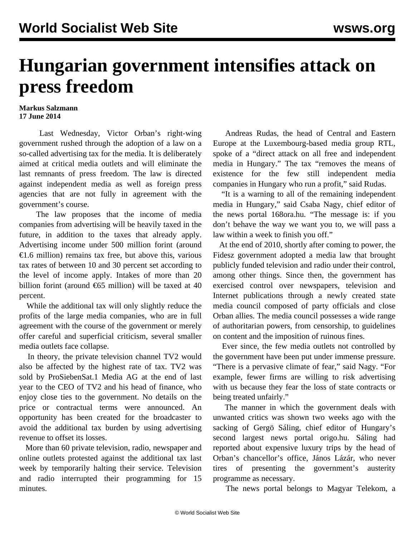## **Hungarian government intensifies attack on press freedom**

## **Markus Salzmann 17 June 2014**

 Last Wednesday, Victor Orban's right-wing government rushed through the adoption of a law on a so-called advertising tax for the media. It is deliberately aimed at critical media outlets and will eliminate the last remnants of press freedom. The law is directed against independent media as well as foreign press agencies that are not fully in agreement with the government's course.

 The law proposes that the income of media companies from advertising will be heavily taxed in the future, in addition to the taxes that already apply. Advertising income under 500 million forint (around  $\epsilon$ 1.6 million) remains tax free, but above this, various tax rates of between 10 and 30 percent set according to the level of income apply. Intakes of more than 20 billion forint (around  $\epsilon$ 65 million) will be taxed at 40 percent.

 While the additional tax will only slightly reduce the profits of the large media companies, who are in full agreement with the course of the government or merely offer careful and superficial criticism, several smaller media outlets face collapse.

 In theory, the private television channel TV2 would also be affected by the highest rate of tax. TV2 was sold by ProSiebenSat.1 Media AG at the end of last year to the CEO of TV2 and his head of finance, who enjoy close ties to the government. No details on the price or contractual terms were announced. An opportunity has been created for the broadcaster to avoid the additional tax burden by using advertising revenue to offset its losses.

 More than 60 private television, radio, newspaper and online outlets protested against the additional tax last week by temporarily halting their service. Television and radio interrupted their programming for 15 minutes.

 Andreas Rudas, the head of Central and Eastern Europe at the Luxembourg-based media group RTL, spoke of a "direct attack on all free and independent media in Hungary." The tax "removes the means of existence for the few still independent media companies in Hungary who run a profit," said Rudas.

 "It is a warning to all of the remaining independent media in Hungary," said Csaba Nagy, chief editor of the news portal 168ora.hu. "The message is: if you don't behave the way we want you to, we will pass a law within a week to finish you off."

 At the end of 2010, shortly after coming to power, the Fidesz government adopted a media law that brought publicly funded television and radio under their control, among other things. Since then, the government has exercised control over newspapers, television and Internet publications through a newly created state media council composed of party officials and close Orban allies. The media council possesses a wide range of authoritarian powers, from censorship, to guidelines on content and the imposition of ruinous fines.

 Ever since, the few media outlets not controlled by the government have been put under immense pressure. "There is a pervasive climate of fear," said Nagy. "For example, fewer firms are willing to risk advertising with us because they fear the loss of state contracts or being treated unfairly."

 The manner in which the government deals with unwanted critics was shown two weeks ago with the sacking of Gergö Sáling, chief editor of Hungary's second largest news portal origo.hu. Sáling had reported about expensive luxury trips by the head of Orban's chancellor's office, János Lázár, who never tires of presenting the government's austerity programme as necessary.

The news portal belongs to Magyar Telekom, a